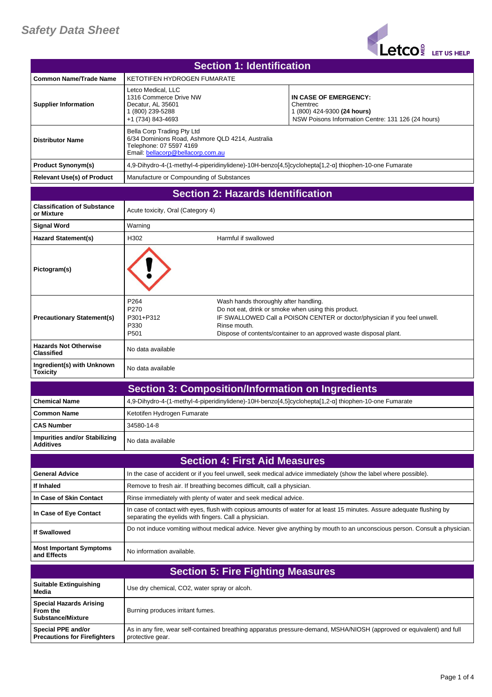

| <b>Section 1: Identification</b>                                       |                                                                                                                                                |                                                       |                                                                                                                                                                                                        |
|------------------------------------------------------------------------|------------------------------------------------------------------------------------------------------------------------------------------------|-------------------------------------------------------|--------------------------------------------------------------------------------------------------------------------------------------------------------------------------------------------------------|
| <b>Common Name/Trade Name</b>                                          | <b>KETOTIFEN HYDROGEN FUMARATE</b>                                                                                                             |                                                       |                                                                                                                                                                                                        |
| <b>Supplier Information</b>                                            | Letco Medical. LLC<br>1316 Commerce Drive NW<br>Decatur, AL 35601<br>1 (800) 239-5288<br>+1 (734) 843-4693                                     |                                                       | IN CASE OF EMERGENCY:<br>Chemtrec<br>1 (800) 424-9300 (24 hours)<br>NSW Poisons Information Centre: 131 126 (24 hours)                                                                                 |
| <b>Distributor Name</b>                                                | Bella Corp Trading Pty Ltd<br>6/34 Dominions Road, Ashmore QLD 4214, Australia<br>Telephone: 07 5597 4169<br>Email: bellacorp@bellacorp.com.au |                                                       |                                                                                                                                                                                                        |
| <b>Product Synonym(s)</b>                                              |                                                                                                                                                |                                                       | 4,9-Dihydro-4-(1-methyl-4-piperidinylidene)-10H-benzo[4,5]cyclohepta[1,2-a] thiophen-10-one Fumarate                                                                                                   |
| <b>Relevant Use(s) of Product</b>                                      | Manufacture or Compounding of Substances                                                                                                       |                                                       |                                                                                                                                                                                                        |
| <b>Section 2: Hazards Identification</b>                               |                                                                                                                                                |                                                       |                                                                                                                                                                                                        |
| <b>Classification of Substance</b><br>or Mixture                       | Acute toxicity, Oral (Category 4)                                                                                                              |                                                       |                                                                                                                                                                                                        |
| <b>Signal Word</b>                                                     | Warning                                                                                                                                        |                                                       |                                                                                                                                                                                                        |
| <b>Hazard Statement(s)</b>                                             | H302                                                                                                                                           | Harmful if swallowed                                  |                                                                                                                                                                                                        |
| Pictogram(s)                                                           |                                                                                                                                                |                                                       |                                                                                                                                                                                                        |
| <b>Precautionary Statement(s)</b>                                      | P264<br>P270<br>P301+P312<br>P330<br>P501                                                                                                      | Wash hands thoroughly after handling.<br>Rinse mouth. | Do not eat, drink or smoke when using this product.<br>IF SWALLOWED Call a POISON CENTER or doctor/physician if you feel unwell.<br>Dispose of contents/container to an approved waste disposal plant. |
| <b>Hazards Not Otherwise</b><br><b>Classified</b>                      | No data available                                                                                                                              |                                                       |                                                                                                                                                                                                        |
| Ingredient(s) with Unknown<br><b>Toxicity</b>                          | No data available                                                                                                                              |                                                       |                                                                                                                                                                                                        |
|                                                                        | <b>Section 3: Composition/Information on Ingredients</b>                                                                                       |                                                       |                                                                                                                                                                                                        |
| <b>Chemical Name</b>                                                   |                                                                                                                                                |                                                       | 4,9-Dihydro-4-(1-methyl-4-piperidinylidene)-10H-benzo[4,5]cyclohepta[1,2-a] thiophen-10-one Fumarate                                                                                                   |
| <b>Common Name</b>                                                     | Ketotifen Hydrogen Fumarate                                                                                                                    |                                                       |                                                                                                                                                                                                        |
| <b>CAS Number</b>                                                      | 34580-14-8                                                                                                                                     |                                                       |                                                                                                                                                                                                        |
| <b>Impurities and/or Stabilizing</b><br><b>Additives</b>               | No data available                                                                                                                              |                                                       |                                                                                                                                                                                                        |
|                                                                        |                                                                                                                                                | <b>Section 4: First Aid Measures</b>                  |                                                                                                                                                                                                        |
| <b>General Advice</b>                                                  |                                                                                                                                                |                                                       | In the case of accident or if you feel unwell, seek medical advice immediately (show the label where possible).                                                                                        |
| If Inhaled                                                             | Remove to fresh air. If breathing becomes difficult, call a physician.                                                                         |                                                       |                                                                                                                                                                                                        |
| In Case of Skin Contact                                                | Rinse immediately with plenty of water and seek medical advice.                                                                                |                                                       |                                                                                                                                                                                                        |
| In Case of Eye Contact                                                 | separating the eyelids with fingers. Call a physician.                                                                                         |                                                       | In case of contact with eyes, flush with copious amounts of water for at least 15 minutes. Assure adequate flushing by                                                                                 |
| <b>If Swallowed</b>                                                    |                                                                                                                                                |                                                       | Do not induce vomiting without medical advice. Never give anything by mouth to an unconscious person. Consult a physician.                                                                             |
| <b>Most Important Symptoms</b><br>and Effects                          | No information available.                                                                                                                      |                                                       |                                                                                                                                                                                                        |
|                                                                        |                                                                                                                                                | <b>Section 5: Fire Fighting Measures</b>              |                                                                                                                                                                                                        |
| <b>Suitable Extinguishing</b><br>Media                                 | Use dry chemical, CO2, water spray or alcoh.                                                                                                   |                                                       |                                                                                                                                                                                                        |
| <b>Special Hazards Arising</b><br>From the<br><b>Substance/Mixture</b> | Burning produces irritant fumes.                                                                                                               |                                                       |                                                                                                                                                                                                        |
| Special PPE and/or<br><b>Precautions for Firefighters</b>              | protective gear.                                                                                                                               |                                                       | As in any fire, wear self-contained breathing apparatus pressure-demand, MSHA/NIOSH (approved or equivalent) and full                                                                                  |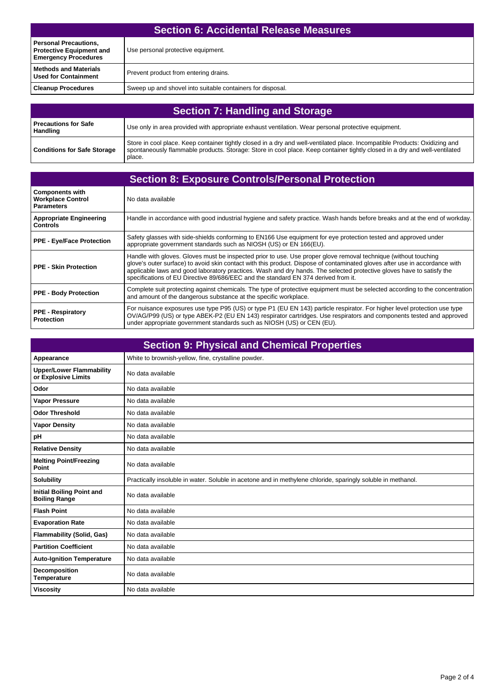| <b>Section 6: Accidental Release Measures</b>                                                  |                                                            |
|------------------------------------------------------------------------------------------------|------------------------------------------------------------|
| <b>Personal Precautions,</b><br><b>Protective Equipment and</b><br><b>Emergency Procedures</b> | Use personal protective equipment.                         |
| <b>Methods and Materials</b><br><b>Used for Containment</b>                                    | Prevent product from entering drains.                      |
| <b>Cleanup Procedures</b>                                                                      | Sweep up and shovel into suitable containers for disposal. |

| <b>Section 7: Handling and Storage</b>  |                                                                                                                                                                                                                                                                     |  |
|-----------------------------------------|---------------------------------------------------------------------------------------------------------------------------------------------------------------------------------------------------------------------------------------------------------------------|--|
| <b>Precautions for Safe</b><br>Handling | Use only in area provided with appropriate exhaust ventilation. Wear personal protective equipment.                                                                                                                                                                 |  |
| <b>Conditions for Safe Storage</b>      | Store in cool place. Keep container tightly closed in a dry and well-ventilated place. Incompatible Products: Oxidizing and<br>spontaneously flammable products. Storage: Store in cool place. Keep container tightly closed in a dry and well-ventilated<br>place. |  |

| <b>Section 8: Exposure Controls/Personal Protection</b>                 |                                                                                                                                                                                                                                                                                                                                                                                                                                                               |  |
|-------------------------------------------------------------------------|---------------------------------------------------------------------------------------------------------------------------------------------------------------------------------------------------------------------------------------------------------------------------------------------------------------------------------------------------------------------------------------------------------------------------------------------------------------|--|
| <b>Components with</b><br><b>Workplace Control</b><br><b>Parameters</b> | No data available                                                                                                                                                                                                                                                                                                                                                                                                                                             |  |
| <b>Appropriate Engineering</b><br><b>Controls</b>                       | Handle in accordance with good industrial hygiene and safety practice. Wash hands before breaks and at the end of workday.                                                                                                                                                                                                                                                                                                                                    |  |
| <b>PPE - Eye/Face Protection</b>                                        | Safety glasses with side-shields conforming to EN166 Use equipment for eye protection tested and approved under<br>appropriate government standards such as NIOSH (US) or EN 166(EU).                                                                                                                                                                                                                                                                         |  |
| <b>PPE - Skin Protection</b>                                            | Handle with gloves. Gloves must be inspected prior to use. Use proper glove removal technique (without touching<br>glove's outer surface) to avoid skin contact with this product. Dispose of contaminated gloves after use in accordance with<br>applicable laws and good laboratory practices. Wash and dry hands. The selected protective gloves have to satisfy the<br>specifications of EU Directive 89/686/EEC and the standard EN 374 derived from it. |  |
| <b>PPE - Body Protection</b>                                            | Complete suit protecting against chemicals. The type of protective equipment must be selected according to the concentration<br>and amount of the dangerous substance at the specific workplace.                                                                                                                                                                                                                                                              |  |
| <b>PPE - Respiratory</b><br><b>Protection</b>                           | For nuisance exposures use type P95 (US) or type P1 (EU EN 143) particle respirator. For higher level protection use type<br>OV/AG/P99 (US) or type ABEK-P2 (EU EN 143) respirator cartridges. Use respirators and components tested and approved<br>under appropriate government standards such as NIOSH (US) or CEN (EU).                                                                                                                                   |  |

| <b>Section 9: Physical and Chemical Properties</b>       |                                                                                                              |  |
|----------------------------------------------------------|--------------------------------------------------------------------------------------------------------------|--|
| Appearance                                               | White to brownish-yellow, fine, crystalline powder.                                                          |  |
| <b>Upper/Lower Flammability</b><br>or Explosive Limits   | No data available                                                                                            |  |
| Odor                                                     | No data available                                                                                            |  |
| <b>Vapor Pressure</b>                                    | No data available                                                                                            |  |
| <b>Odor Threshold</b>                                    | No data available                                                                                            |  |
| <b>Vapor Density</b>                                     | No data available                                                                                            |  |
| pH                                                       | No data available                                                                                            |  |
| <b>Relative Density</b>                                  | No data available                                                                                            |  |
| <b>Melting Point/Freezing</b><br>Point                   | No data available                                                                                            |  |
| <b>Solubility</b>                                        | Practically insoluble in water. Soluble in acetone and in methylene chloride, sparingly soluble in methanol. |  |
| <b>Initial Boiling Point and</b><br><b>Boiling Range</b> | No data available                                                                                            |  |
| <b>Flash Point</b>                                       | No data available                                                                                            |  |
| <b>Evaporation Rate</b>                                  | No data available                                                                                            |  |
| <b>Flammability (Solid, Gas)</b>                         | No data available                                                                                            |  |
| <b>Partition Coefficient</b>                             | No data available                                                                                            |  |
| <b>Auto-Ignition Temperature</b>                         | No data available                                                                                            |  |
| Decomposition<br><b>Temperature</b>                      | No data available                                                                                            |  |
| <b>Viscosity</b>                                         | No data available                                                                                            |  |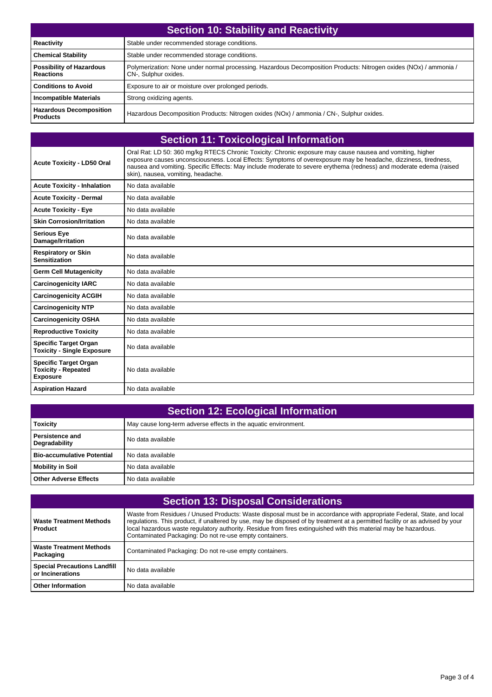| <b>Section 10: Stability and Reactivity</b>         |                                                                                                                                           |  |
|-----------------------------------------------------|-------------------------------------------------------------------------------------------------------------------------------------------|--|
| Reactivity                                          | Stable under recommended storage conditions.                                                                                              |  |
| <b>Chemical Stability</b>                           | Stable under recommended storage conditions.                                                                                              |  |
| <b>Possibility of Hazardous</b><br><b>Reactions</b> | Polymerization: None under normal processing. Hazardous Decomposition Products: Nitrogen oxides (NOx) / ammonia /<br>CN-, Sulphur oxides. |  |
| <b>Conditions to Avoid</b>                          | Exposure to air or moisture over prolonged periods.                                                                                       |  |
| <b>Incompatible Materials</b>                       | Strong oxidizing agents.                                                                                                                  |  |
| <b>Hazardous Decomposition</b><br><b>Products</b>   | Hazardous Decomposition Products: Nitrogen oxides (NOx) / ammonia / CN-, Sulphur oxides.                                                  |  |

| <b>Section 11: Toxicological Information</b>                                  |                                                                                                                                                                                                                                                                                                                                                                                           |  |
|-------------------------------------------------------------------------------|-------------------------------------------------------------------------------------------------------------------------------------------------------------------------------------------------------------------------------------------------------------------------------------------------------------------------------------------------------------------------------------------|--|
| <b>Acute Toxicity - LD50 Oral</b>                                             | Oral Rat: LD 50: 360 mg/kg RTECS Chronic Toxicity: Chronic exposure may cause nausea and vomiting, higher<br>exposure causes unconsciousness. Local Effects: Symptoms of overexposure may be headache, dizziness, tiredness,<br>nausea and vomiting. Specific Effects: May include moderate to severe erythema (redness) and moderate edema (raised<br>skin), nausea, vomiting, headache. |  |
| <b>Acute Toxicity - Inhalation</b>                                            | No data available                                                                                                                                                                                                                                                                                                                                                                         |  |
| <b>Acute Toxicity - Dermal</b>                                                | No data available                                                                                                                                                                                                                                                                                                                                                                         |  |
| <b>Acute Toxicity - Eye</b>                                                   | No data available                                                                                                                                                                                                                                                                                                                                                                         |  |
| <b>Skin Corrosion/Irritation</b>                                              | No data available                                                                                                                                                                                                                                                                                                                                                                         |  |
| <b>Serious Eye</b><br>Damage/Irritation                                       | No data available                                                                                                                                                                                                                                                                                                                                                                         |  |
| <b>Respiratory or Skin</b><br><b>Sensitization</b>                            | No data available                                                                                                                                                                                                                                                                                                                                                                         |  |
| <b>Germ Cell Mutagenicity</b>                                                 | No data available                                                                                                                                                                                                                                                                                                                                                                         |  |
| <b>Carcinogenicity IARC</b>                                                   | No data available                                                                                                                                                                                                                                                                                                                                                                         |  |
| <b>Carcinogenicity ACGIH</b>                                                  | No data available                                                                                                                                                                                                                                                                                                                                                                         |  |
| <b>Carcinogenicity NTP</b>                                                    | No data available                                                                                                                                                                                                                                                                                                                                                                         |  |
| <b>Carcinogenicity OSHA</b>                                                   | No data available                                                                                                                                                                                                                                                                                                                                                                         |  |
| <b>Reproductive Toxicity</b>                                                  | No data available                                                                                                                                                                                                                                                                                                                                                                         |  |
| <b>Specific Target Organ</b><br><b>Toxicity - Single Exposure</b>             | No data available                                                                                                                                                                                                                                                                                                                                                                         |  |
| <b>Specific Target Organ</b><br><b>Toxicity - Repeated</b><br><b>Exposure</b> | No data available                                                                                                                                                                                                                                                                                                                                                                         |  |
| <b>Aspiration Hazard</b>                                                      | No data available                                                                                                                                                                                                                                                                                                                                                                         |  |

| <b>Section 12: Ecological Information</b> |                                                                 |  |
|-------------------------------------------|-----------------------------------------------------------------|--|
| <b>Toxicity</b>                           | May cause long-term adverse effects in the aquatic environment. |  |
| l Persistence and<br>Degradability        | No data available                                               |  |
| Bio-accumulative Potential                | No data available                                               |  |
| Mobility in Soil                          | No data available                                               |  |
| Other Adverse Effects                     | No data available                                               |  |

| <b>Section 13: Disposal Considerations</b>              |                                                                                                                                                                                                                                                                                                                                                                                                                                        |  |
|---------------------------------------------------------|----------------------------------------------------------------------------------------------------------------------------------------------------------------------------------------------------------------------------------------------------------------------------------------------------------------------------------------------------------------------------------------------------------------------------------------|--|
| <b>Waste Treatment Methods</b><br>Product               | Waste from Residues / Unused Products: Waste disposal must be in accordance with appropriate Federal, State, and local<br>regulations. This product, if unaltered by use, may be disposed of by treatment at a permitted facility or as advised by your<br>local hazardous waste regulatory authority. Residue from fires extinguished with this material may be hazardous.<br>Contaminated Packaging: Do not re-use empty containers. |  |
| <b>Waste Treatment Methods</b><br>Packaging             | Contaminated Packaging: Do not re-use empty containers.                                                                                                                                                                                                                                                                                                                                                                                |  |
| <b>Special Precautions Landfill</b><br>or Incinerations | No data available                                                                                                                                                                                                                                                                                                                                                                                                                      |  |
| <b>Other Information</b>                                | No data available                                                                                                                                                                                                                                                                                                                                                                                                                      |  |